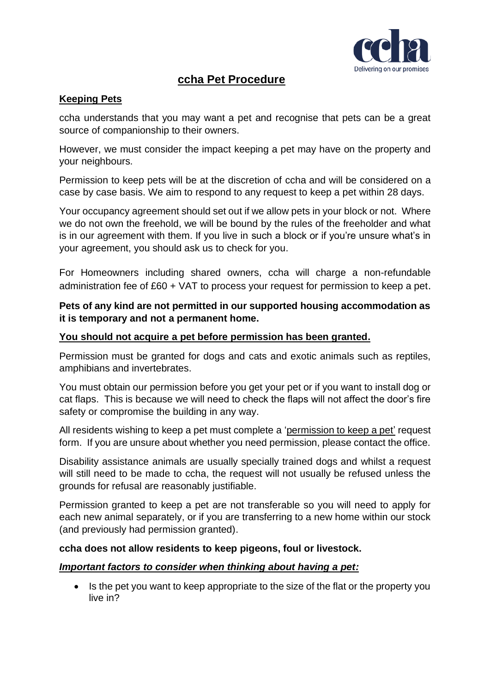

## **ccha Pet Procedure**

#### **Keeping Pets**

ccha understands that you may want a pet and recognise that pets can be a great source of companionship to their owners.

However, we must consider the impact keeping a pet may have on the property and your neighbours.

Permission to keep pets will be at the discretion of ccha and will be considered on a case by case basis. We aim to respond to any request to keep a pet within 28 days.

Your occupancy agreement should set out if we allow pets in your block or not. Where we do not own the freehold, we will be bound by the rules of the freeholder and what is in our agreement with them. If you live in such a block or if you're unsure what's in your agreement, you should ask us to check for you.

For Homeowners including shared owners, ccha will charge a non-refundable administration fee of £60 + VAT to process your request for permission to keep a pet.

#### **Pets of any kind are not permitted in our supported housing accommodation as it is temporary and not a permanent home.**

#### **You should not acquire a pet before permission has been granted.**

Permission must be granted for dogs and cats and exotic animals such as reptiles, amphibians and invertebrates.

You must obtain our permission before you get your pet or if you want to install dog or cat flaps. This is because we will need to check the flaps will not affect the door's fire safety or compromise the building in any way.

All residents wishing to keep a pet must complete a 'permission to keep a pet' request form. If you are unsure about whether you need permission, please contact the office.

Disability assistance animals are usually specially trained dogs and whilst a request will still need to be made to ccha, the request will not usually be refused unless the grounds for refusal are reasonably justifiable.

Permission granted to keep a pet are not transferable so you will need to apply for each new animal separately, or if you are transferring to a new home within our stock (and previously had permission granted).

#### **ccha does not allow residents to keep pigeons, foul or livestock.**

#### *Important factors to consider when thinking about having a pet:*

• Is the pet you want to keep appropriate to the size of the flat or the property you live in?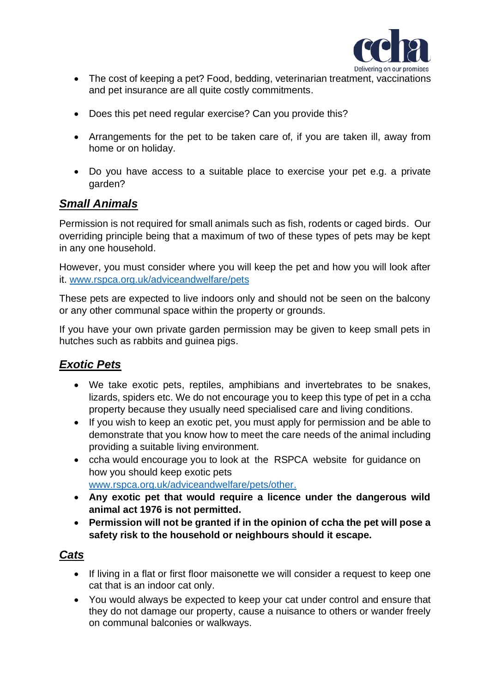

- The cost of keeping a pet? Food, bedding, veterinarian treatment, vaccinations and pet insurance are all quite costly commitments.
- Does this pet need regular exercise? Can you provide this?
- Arrangements for the pet to be taken care of, if you are taken ill, away from home or on holiday.
- Do you have access to a suitable place to exercise your pet e.g. a private garden?

# *Small Animals*

Permission is not required for small animals such as fish, rodents or caged birds. Our overriding principle being that a maximum of two of these types of pets may be kept in any one household.

However, you must consider where you will keep the pet and how you will look after it. [www.rspca.org.uk/adviceandwelfare/pets](https://www.rspca.org.uk/adviceandwelfare/pets)

These pets are expected to live indoors only and should not be seen on the balcony or any other communal space within the property or grounds.

If you have your own private garden permission may be given to keep small pets in hutches such as rabbits and guinea pigs.

# *Exotic Pets*

- We take exotic pets, reptiles, amphibians and invertebrates to be snakes, lizards, spiders etc. We do not encourage you to keep this type of pet in a ccha property because they usually need specialised care and living conditions.
- If you wish to keep an exotic pet, you must apply for permission and be able to demonstrate that you know how to meet the care needs of the animal including providing a suitable living environment.
- ccha would encourage you to look at the RSPCA website for guidance on how you should keep exotic pets [www.rspca.org.uk/adviceandwelfare/pets/other.](http://www.rspca.org.uk/adviceandwelfare/pets/other)
- **Any exotic pet that would require a licence under the dangerous wild animal act 1976 is not permitted.**
- **Permission will not be granted if in the opinion of ccha the pet will pose a safety risk to the household or neighbours should it escape.**

## *Cats*

- If living in a flat or first floor maisonette we will consider a request to keep one cat that is an indoor cat only.
- You would always be expected to keep your cat under control and ensure that they do not damage our property, cause a nuisance to others or wander freely on communal balconies or walkways.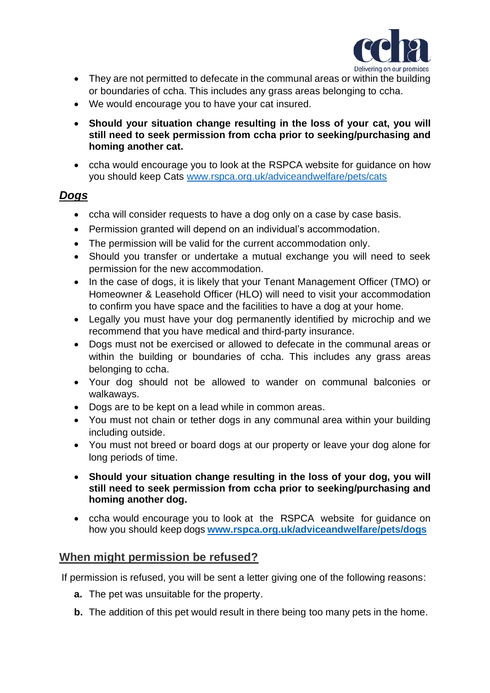

- They are not permitted to defecate in the communal areas or within the building or boundaries of ccha. This includes any grass areas belonging to ccha.
- We would encourage you to have your cat insured.
- **Should your situation change resulting in the loss of your cat, you will still need to seek permission from ccha prior to seeking/purchasing and homing another cat.**
- ccha would encourage you to look at the RSPCA website for guidance on how you should keep Cats [www.rspca.org.uk/adviceandwelfare/pets/cats](http://www.rspca.org.uk/adviceandwelfare/pets/cats)

### *Dogs*

- ccha will consider requests to have a dog only on a case by case basis.
- Permission granted will depend on an individual's accommodation.
- The permission will be valid for the current accommodation only.
- Should you transfer or undertake a mutual exchange you will need to seek permission for the new accommodation.
- In the case of dogs, it is likely that your Tenant Management Officer (TMO) or Homeowner & Leasehold Officer (HLO) will need to visit your accommodation to confirm you have space and the facilities to have a dog at your home.
- Legally you must have your dog permanently identified by microchip and we recommend that you have medical and third-party insurance.
- Dogs must not be exercised or allowed to defecate in the communal areas or within the building or boundaries of ccha. This includes any grass areas belonging to ccha.
- Your dog should not be allowed to wander on communal balconies or walkaways.
- Dogs are to be kept on a lead while in common areas.
- You must not chain or tether dogs in any communal area within your building including outside.
- You must not breed or board dogs at our property or leave your dog alone for long periods of time.
- **Should your situation change resulting in the loss of your dog, you will still need to seek permission from ccha prior to seeking/purchasing and homing another dog.**
- ccha would encourage you to look at the RSPCA website for guidance on how you should keep dogs **[www.rspca.org.uk/adviceandwelfare/pets/dogs](http://www.rspca.org.uk/adviceandwelfare/pets/dogs)**

### **When might permission be refused?**

If permission is refused, you will be sent a letter giving one of the following reasons:

- **a.** The pet was unsuitable for the property.
- **b.** The addition of this pet would result in there being too many pets in the home.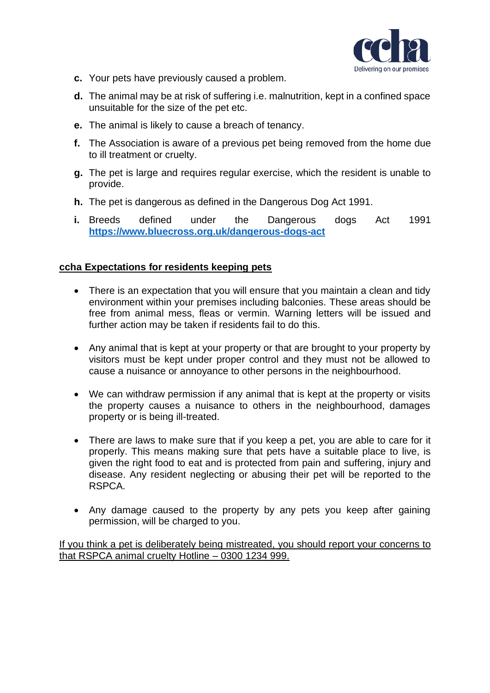

- **c.** Your pets have previously caused a problem.
- **d.** The animal may be at risk of suffering i.e. malnutrition, kept in a confined space unsuitable for the size of the pet etc.
- **e.** The animal is likely to cause a breach of tenancy.
- **f.** The Association is aware of a previous pet being removed from the home due to ill treatment or cruelty.
- **g.** The pet is large and requires regular exercise, which the resident is unable to provide.
- **h.** The pet is dangerous as defined in the Dangerous Dog Act 1991.
- **i.** Breeds defined under the Dangerous dogs Act 1991 **<https://www.bluecross.org.uk/dangerous-dogs-act>**

#### **ccha Expectations for residents keeping pets**

- There is an expectation that you will ensure that you maintain a clean and tidy environment within your premises including balconies. These areas should be free from animal mess, fleas or vermin. Warning letters will be issued and further action may be taken if residents fail to do this.
- Any animal that is kept at your property or that are brought to your property by visitors must be kept under proper control and they must not be allowed to cause a nuisance or annoyance to other persons in the neighbourhood.
- We can withdraw permission if any animal that is kept at the property or visits the property causes a nuisance to others in the neighbourhood, damages property or is being ill-treated.
- There are laws to make sure that if you keep a pet, you are able to care for it properly. This means making sure that pets have a suitable place to live, is given the right food to eat and is protected from pain and suffering, injury and disease. Any resident neglecting or abusing their pet will be reported to the RSPCA.
- Any damage caused to the property by any pets you keep after gaining permission, will be charged to you.

If you think a pet is deliberately being mistreated, you should report your concerns to that RSPCA animal cruelty Hotline – 0300 1234 999.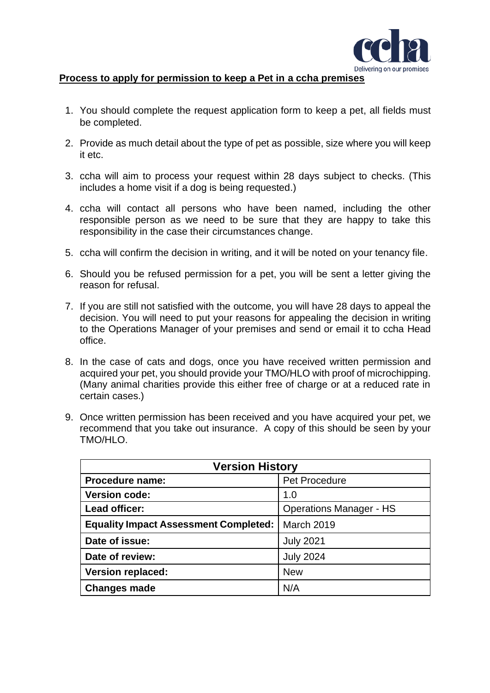

#### **Process to apply for permission to keep a Pet in a ccha premises**

- 1. You should complete the request application form to keep a pet, all fields must be completed.
- 2. Provide as much detail about the type of pet as possible, size where you will keep it etc.
- 3. ccha will aim to process your request within 28 days subject to checks. (This includes a home visit if a dog is being requested.)
- 4. ccha will contact all persons who have been named, including the other responsible person as we need to be sure that they are happy to take this responsibility in the case their circumstances change.
- 5. ccha will confirm the decision in writing, and it will be noted on your tenancy file.
- 6. Should you be refused permission for a pet, you will be sent a letter giving the reason for refusal.
- 7. If you are still not satisfied with the outcome, you will have 28 days to appeal the decision. You will need to put your reasons for appealing the decision in writing to the Operations Manager of your premises and send or email it to ccha Head office.
- 8. In the case of cats and dogs, once you have received written permission and acquired your pet, you should provide your TMO/HLO with proof of microchipping. (Many animal charities provide this either free of charge or at a reduced rate in certain cases.)
- 9. Once written permission has been received and you have acquired your pet, we recommend that you take out insurance. A copy of this should be seen by your TMO/HLO.

| <b>Version History</b>                       |                                |  |
|----------------------------------------------|--------------------------------|--|
| Procedure name:                              | Pet Procedure                  |  |
| <b>Version code:</b>                         | 1.0                            |  |
| Lead officer:                                | <b>Operations Manager - HS</b> |  |
| <b>Equality Impact Assessment Completed:</b> | <b>March 2019</b>              |  |
| Date of issue:                               | <b>July 2021</b>               |  |
| Date of review:                              | <b>July 2024</b>               |  |
| <b>Version replaced:</b>                     | <b>New</b>                     |  |
| <b>Changes made</b>                          | N/A                            |  |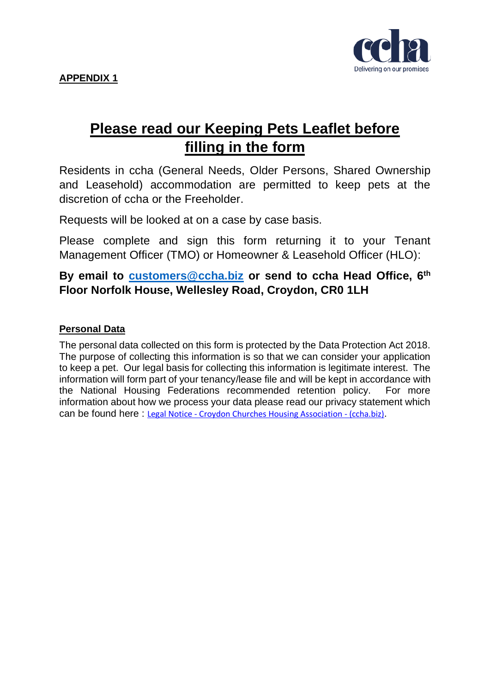

# **Please read our Keeping Pets Leaflet before filling in the form**

Residents in ccha (General Needs, Older Persons, Shared Ownership and Leasehold) accommodation are permitted to keep pets at the discretion of ccha or the Freeholder.

Requests will be looked at on a case by case basis.

Please complete and sign this form returning it to your Tenant Management Officer (TMO) or Homeowner & Leasehold Officer (HLO):

**By email to [customers@ccha.biz](mailto:customers@ccha.biz) or send to ccha Head Office, 6th Floor Norfolk House, Wellesley Road, Croydon, CR0 1LH**

### **Personal Data**

The personal data collected on this form is protected by the Data Protection Act 2018. The purpose of collecting this information is so that we can consider your application to keep a pet. Our legal basis for collecting this information is legitimate interest. The information will form part of your tenancy/lease file and will be kept in accordance with the National Housing Federations recommended retention policy. For more information about how we process your data please read our privacy statement which can be found here : Legal Notice - [Croydon Churches Housing Association -](https://ccha.biz/legal-notice/) (ccha.biz).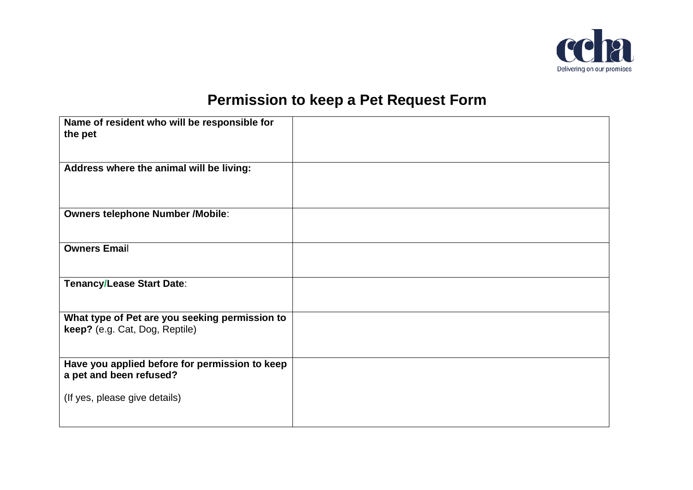

# **Permission to keep a Pet Request Form**

| Name of resident who will be responsible for<br>the pet                          |  |
|----------------------------------------------------------------------------------|--|
| Address where the animal will be living:                                         |  |
| <b>Owners telephone Number /Mobile:</b>                                          |  |
| <b>Owners Email</b>                                                              |  |
| <b>Tenancy/Lease Start Date:</b>                                                 |  |
| What type of Pet are you seeking permission to<br>keep? (e.g. Cat, Dog, Reptile) |  |
| Have you applied before for permission to keep<br>a pet and been refused?        |  |
| (If yes, please give details)                                                    |  |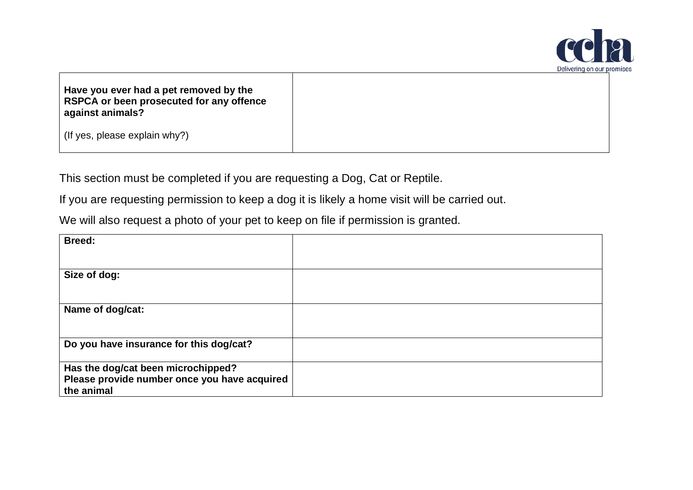

| Have you ever had a pet removed by the   |
|------------------------------------------|
| RSPCA or been prosecuted for any offence |
| against animals?                         |

(If yes, please explain why?)

This section must be completed if you are requesting a Dog, Cat or Reptile.

If you are requesting permission to keep a dog it is likely a home visit will be carried out.

We will also request a photo of your pet to keep on file if permission is granted.

| <b>Breed:</b>                                                                                    |  |
|--------------------------------------------------------------------------------------------------|--|
| Size of dog:                                                                                     |  |
| Name of dog/cat:                                                                                 |  |
| Do you have insurance for this dog/cat?                                                          |  |
| Has the dog/cat been microchipped?<br>Please provide number once you have acquired<br>the animal |  |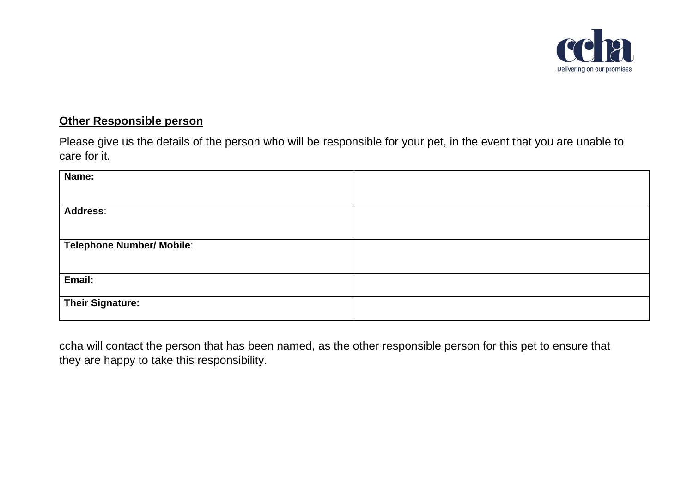

## **Other Responsible person**

Please give us the details of the person who will be responsible for your pet, in the event that you are unable to care for it.

| Name:                     |  |
|---------------------------|--|
|                           |  |
| <b>Address:</b>           |  |
|                           |  |
| Telephone Number/ Mobile: |  |
|                           |  |
| Email:                    |  |
| <b>Their Signature:</b>   |  |
|                           |  |

ccha will contact the person that has been named, as the other responsible person for this pet to ensure that they are happy to take this responsibility.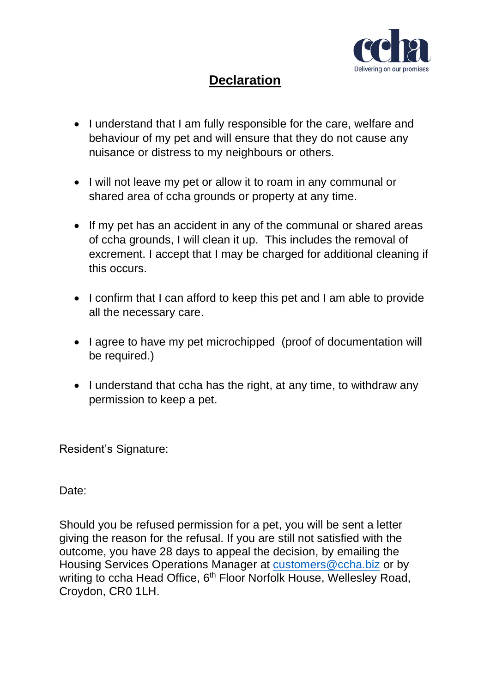

# **Declaration**

- I understand that I am fully responsible for the care, welfare and behaviour of my pet and will ensure that they do not cause any nuisance or distress to my neighbours or others.
- I will not leave my pet or allow it to roam in any communal or shared area of ccha grounds or property at any time.
- If my pet has an accident in any of the communal or shared areas of ccha grounds, I will clean it up. This includes the removal of excrement. I accept that I may be charged for additional cleaning if this occurs.
- I confirm that I can afford to keep this pet and I am able to provide all the necessary care.
- I agree to have my pet microchipped (proof of documentation will be required.)
- I understand that ccha has the right, at any time, to withdraw any permission to keep a pet.

Resident's Signature:

Date:

Should you be refused permission for a pet, you will be sent a letter giving the reason for the refusal. If you are still not satisfied with the outcome, you have 28 days to appeal the decision, by emailing the Housing Services Operations Manager at [customers@ccha.biz](mailto:customers@ccha.biz) or by writing to ccha Head Office, 6<sup>th</sup> Floor Norfolk House, Wellesley Road, Croydon, CR0 1LH.